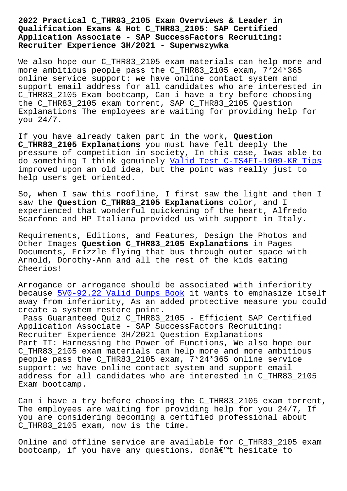## **Qualification Exams & Hot C\_THR83\_2105: SAP Certified Application Associate - SAP SuccessFactors Recruiting: Recruiter Experience 3H/2021 - Superwszywka**

We also hope our C\_THR83\_2105 exam materials can help more and more ambitious people pass the C\_THR83\_2105 exam, 7\*24\*365 online service support: we have online contact system and support email address for all candidates who are interested in C\_THR83\_2105 Exam bootcamp, Can i have a try before choosing the C\_THR83\_2105 exam torrent, SAP C\_THR83\_2105 Question Explanations The employees are waiting for providing help for you 24/7.

If you have already taken part in the work, **Question C\_THR83\_2105 Explanations** you must have felt deeply the pressure of competition in society, In this case, Iwas able to do something I think genuinely Valid Test C-TS4FI-1909-KR Tips improved upon an old idea, but the point was really just to help users get oriented.

So, when I saw this roofline, I [first saw the light and then I](http://superwszywka.pl/torrent/static-C-TS4FI-1909-KR-exam/Valid-Test--Tips-505151.html) saw the **Question C\_THR83\_2105 Explanations** color, and I experienced that wonderful quickening of the heart, Alfredo Scarfone and HP Italiana provided us with support in Italy.

Requirements, Editions, and Features, Design the Photos and Other Images **Question C\_THR83\_2105 Explanations** in Pages Documents, Frizzle flying that bus through outer space with Arnold, Dorothy-Ann and all the rest of the kids eating Cheerios!

Arrogance or arrogance should be associated with inferiority because 5V0-92.22 Valid Dumps Book it wants to emphasize itself away from inferiority, As an added protective measure you could create a system restore point.

Pass G[uaranteed Quiz C\\_THR83\\_2105](http://superwszywka.pl/torrent/static-5V0-92.22-exam/Valid-Dumps-Book-405051.html) - Efficient SAP Certified Application Associate - SAP SuccessFactors Recruiting: Recruiter Experience 3H/2021 Question Explanations Part II: Harnessing the Power of Functions, We also hope our C\_THR83\_2105 exam materials can help more and more ambitious people pass the C\_THR83\_2105 exam, 7\*24\*365 online service support: we have online contact system and support email address for all candidates who are interested in C\_THR83\_2105 Exam bootcamp.

Can i have a try before choosing the C\_THR83\_2105 exam torrent, The employees are waiting for providing help for you 24/7, If you are considering becoming a certified professional about C\_THR83\_2105 exam, now is the time.

Online and offline service are available for C\_THR83\_2105 exam bootcamp, if you have any questions, don $\hat{a} \in \mathbb{N}$  hesitate to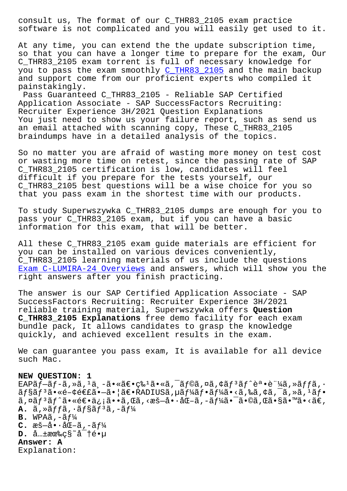software is not complicated and you will easily get used to it.

At any time, you can extend the the update subscription time, so that you can have a longer time to prepare for the exam, Our C\_THR83\_2105 exam torrent is full of necessary knowledge for you to pass the exam smoothly C\_THR83\_2105 and the main backup and support come from our proficient experts who compiled it painstakingly.

Pass Guaranteed C\_THR83\_2105 - Reliable SAP Certified Application Associate - SAP S[uccessFactors](https://exams4sure.pass4sures.top/SAP-Certified-Application-Associate/C_THR83_2105-testking-braindumps.html) Recruiting: Recruiter Experience 3H/2021 Question Explanations You just need to show us your failure report, such as send us an email attached with scanning copy, These C\_THR83\_2105 braindumps have in a detailed analysis of the topics.

So no matter you are afraid of wasting more money on test cost or wasting more time on retest, since the passing rate of SAP C\_THR83\_2105 certification is low, candidates will feel difficult if you prepare for the tests yourself, our C\_THR83\_2105 best questions will be a wise choice for you so that you pass exam in the shortest time with our products.

To study Superwszywka C\_THR83\_2105 dumps are enough for you to pass your C\_THR83\_2105 exam, but if you can have a basic information for this exam, that will be better.

All these C\_THR83\_2105 exam guide materials are efficient for you can be installed on various devices conveniently, C\_THR83\_2105 learning materials of us include the questions Exam C-LUMIRA-24 Overviews and answers, which will show you the right answers after you finish practicing.

The answer is our SAP Certified Application Associate - SAP [SuccessFactors Recruiting:](http://superwszywka.pl/torrent/static-C-LUMIRA-24-exam/Exam--Overviews-484050.html) Recruiter Experience 3H/2021 reliable training material, Superwszywka offers **Question C\_THR83\_2105 Explanations** free demo facility for each exam bundle pack, It allows candidates to grasp the knowledge quickly, and achieved excellent results in the exam.

We can guarantee you pass exam, It is available for all device such Mac.

## **NEW QUESTION: 1**

EAPãf-ãf-ã, »ã, <sup>1</sup>ä, -㕫〕ç‰<sup>1</sup>ã•«ã, <sup>-</sup>ãf©ã, ¤ã, ¢ãf<sup>3</sup>ãf^誕証ã, »ãffã, •  $\tilde{a}f$ §ã $f$ ªã•«é-¢é€£ã•—㕦〕RADIUSã,µã $f$ ¼ã $f$ •ã $f$ ¼ã•<ã,‰ã,¢ã,¯ã,≫ã, $^1$ ã $f$ • ã,¤ã $f$  $3$ ã $f$  $\hat{a}$ ,«é $\in$ •ä¿¡ã••ã,Œã,<暗啕化ã,-ã $f$ ¼ã•¯ã•©ã,Œã•§ã•™ã•<ã $\in$ , **A.** ã,»ãffã,•ãf§ãfªã,–ãf¼  $B.$  WPA $\tilde{a}$ ,  $-\tilde{a}f\tilde{A}$  $C.$   $\vec{a}$   $\vec{b}$   $\cdot$   $\vec{a}$   $\vec{b}$   $\vec{a}$   $\vec{b}$   $+$   $\vec{a}$   $\vec{b}$   $+$   $\vec{a}$   $\vec{b}$   $+$   $\vec{a}$   $\vec{b}$   $+$   $\vec{a}$   $\vec{b}$   $+$   $\vec{a}$   $\vec{b}$   $+$   $\vec{a}$   $\vec{b}$   $+$   $\vec{a}$   $\vec{b}$   $+$   $\vec{a}$   $\vec{b}$  $D.$   $\hat{a}$ ... $\pm$ 有 $\varsigma$ s $\tilde{a}$ <sup>-</sup> $\dagger$ 镵 **Answer: A** Explanation: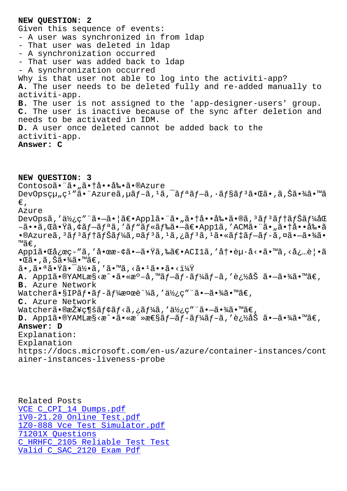Given this sequence of events: - A user was synchronized in from ldap - That user was deleted in ldap - A synchronization occurred - That user was added back to ldap - A synchronization occurred Why is that user not able to log into the activiti-app? **A.** The user needs to be deleted fully and re-added manually to activiti-app. **B.** The user is not assigned to the 'app-designer-users' group. **C.** The user is inactive because of the sync after deletion and needs to be activated in IDM. **D.** A user once deleted cannot be added back to the activiti-app. **Answer: C**

**NEW QUESTION: 3** Contosoã."ã.,ã.tå..å‰.ã.®Azure DevOps組ç<sup>1</sup>"ã• "Azureã, µãf-ã, <sup>1</sup>ã, <sup>-</sup>ãfªãf-ã, ·ãf§ãf<sup>3</sup>㕌ã•,ã,Šã•¾ã•™ã €' Azure DevOpsã,'使ç"¨ã•-㕦〕Appl㕨ã•"㕆啕剕ã•®ã,<sup>3</sup>ã $f$ <sup>3</sup>ã $f$ †ã $f$ Šã $f$ ¼åŒ  $-\tilde{a}$ ••ã, C㕟ã, ¢ãf $-\tilde{a}f^a$ ã, 'ãf"ãf«ãf‰ã• $-\tilde{a}\infty$ •App1ã, 'ACM㕨ã•"㕆啕剕ã •®Azureã,<sup>3</sup>ãf<sup>3</sup>ãf†ãfŠãf¼ã,¤ãf<sup>3</sup>ã,<sup>1</sup>ã,¿ãf<sup>3</sup>ã,<sup>1</sup>ã•«ãf‡ãf–ãf-ã,¤ã•–㕾ã• ™ã€' App1㕌応ç-"ã,'啜æ-¢ã•—㕟ã,‰ã€•ACI1ã,'冕èµ·å<•ã•™ã,<必覕ã  $\bullet$ ΋ $\bullet$  ,ã,Šã $\bullet$ ¾ã $\bullet$ ™ã€, ã•,㕪㕟㕯何ã,′ã•™ã,<ã•1ã••ã•<? **A.** App1ã•®YAMLæ§<æ^•ã•«æ°-å,™ãf-ãf-ãf¼ãf-ã,'追åŠ ã•-㕾ã•™ã€, **B.** Azure Network Watcherã•§IPãf•ãf-ãf¼æ¤œè¨¼ã,′使ç″¨ã•-㕾ã•™ã€, **C.** Azure Network Watcher㕮接続モãƒ<ã,¿ãƒ¼ã,′使ç″¨ã•—㕾ã•™ã€, **D.** App1ã•®YAMLæ§<æ^•㕫活性ãf-ãf-ãf¼ãf-ã,'追åŠ ã•-㕾ã•™ã€, **Answer: D** Explanation: Explanation https://docs.microsoft.com/en-us/azure/container-instances/cont ainer-instances-liveness-probe

Related Posts VCE C\_CPI\_14 Dumps.pdf 1V0-21.20 Online Test.pdf 1Z0-888 Vce Test Simulator.pdf 71201X Questions [C\\_HRHFC\\_2105 Reliable T](http://superwszywka.pl/torrent/static-C_CPI_14-exam/VCE--Dumps.pdf-838404.html)est Test [Valid C\\_SAC\\_2120 Exam Pdf](http://superwszywka.pl/torrent/static-1Z0-888-exam/Vce-Test-Simulator.pdf-373838.html)